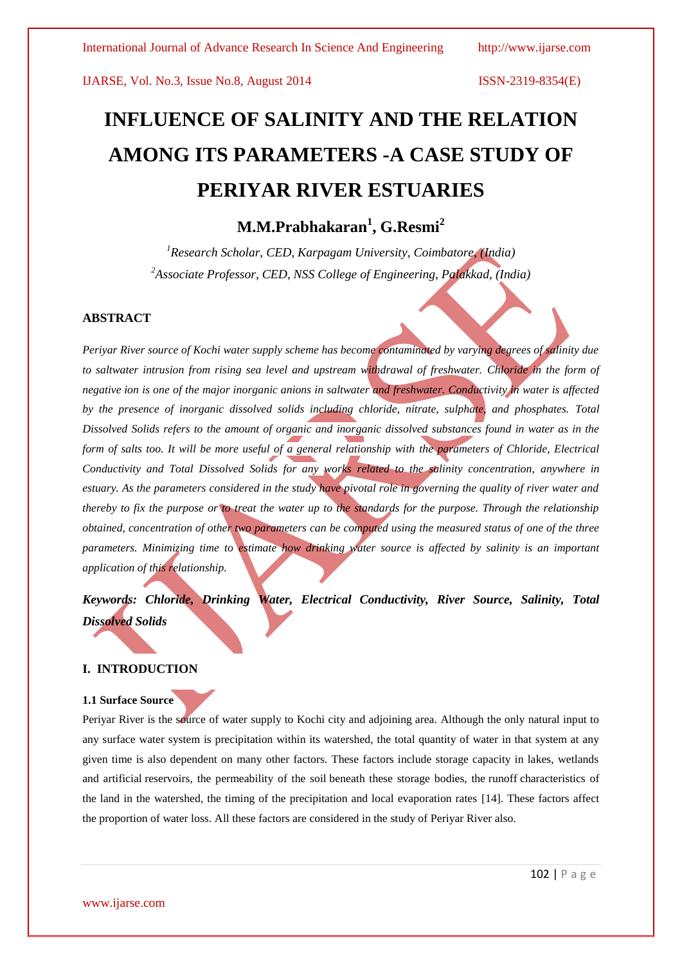# **INFLUENCE OF SALINITY AND THE RELATION AMONG ITS PARAMETERS -A CASE STUDY OF PERIYAR RIVER ESTUARIES**

# **M.M.Prabhakaran<sup>1</sup> , G.Resmi<sup>2</sup>**

*<sup>1</sup>Research Scholar, CED, Karpagam University, Coimbatore, (India) <sup>2</sup>Associate Professor, CED, NSS College of Engineering, Palakkad, (India)*

### **ABSTRACT**

*Periyar River source of Kochi water supply scheme has become contaminated by varying degrees of salinity due to saltwater intrusion from rising sea level and upstream withdrawal of freshwater. Chloride in the form of negative ion is one of the major inorganic anions in saltwater and freshwater. Conductivity in water is affected by the presence of inorganic dissolved solids including chloride, nitrate, sulphate, and phosphates. Total Dissolved Solids refers to the amount of organic and inorganic dissolved substances found in water as in the form of salts too. It will be more useful of a general relationship with the parameters of Chloride, Electrical Conductivity and Total Dissolved Solids for any works related to the salinity concentration, anywhere in estuary. As the parameters considered in the study have pivotal role in governing the quality of river water and thereby to fix the purpose or to treat the water up to the standards for the purpose. Through the relationship obtained, concentration of other two parameters can be computed using the measured status of one of the three parameters. Minimizing time to estimate how drinking water source is affected by salinity is an important application of this relationship.*

*Keywords: Chloride, Drinking Water, Electrical Conductivity, River Source, Salinity, Total Dissolved Solids*

# **I. INTRODUCTION**

#### **1.1 Surface Source**

Periyar River is the source of water supply to Kochi city and adjoining area. Although the only natural input to any surface water system is precipitation within its watershed, the total quantity of water in that system at any given time is also dependent on many other factors. These factors include storage capacity in lakes, wetlands and artificial reservoirs, the permeability of the soil beneath these storage bodies, the [runoff](http://en.wikipedia.org/wiki/Surface_runoff) characteristics of the land in the watershed, the timing of the precipitation and local evaporation rates [14]. These factors affect the proportion of water loss. All these factors are considered in the study of Periyar River also.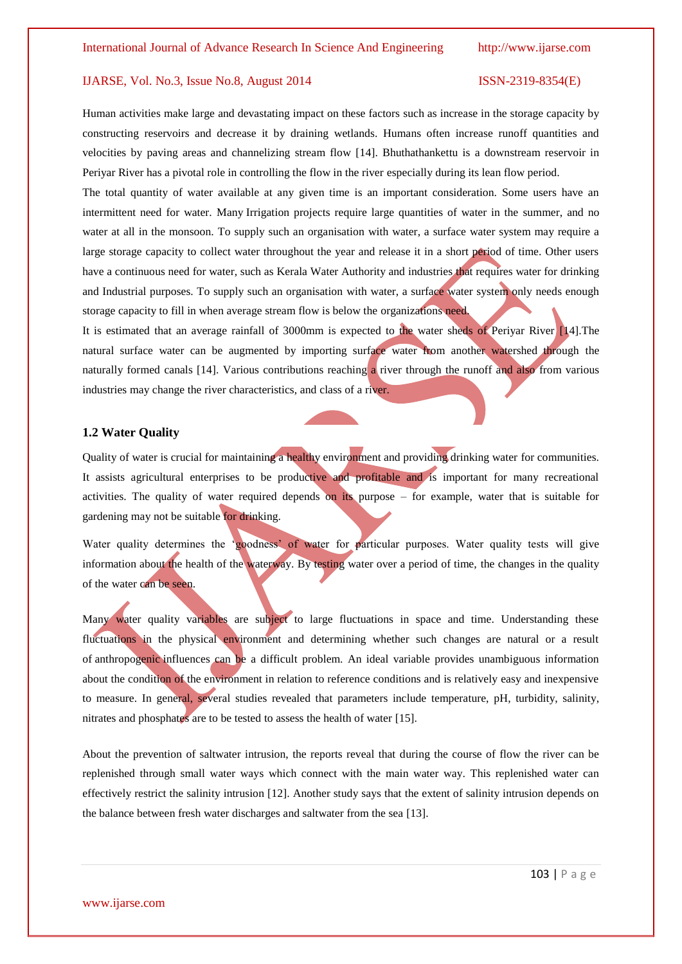Human activities make large and devastating impact on these factors such as increase in the storage capacity by constructing reservoirs and decrease it by draining wetlands. Humans often increase runoff quantities and velocities by paving areas and channelizing stream flow [14]. Bhuthathankettu is a downstream reservoir in Periyar River has a pivotal role in controlling the flow in the river especially during its lean flow period.

The total quantity of water available at any given time is an important consideration. Some users have an intermittent need for water. Many Irrigation projects require large quantities of water in the summer, and no water at all in the monsoon. To supply such an organisation with water, a surface water system may require a large storage capacity to collect water throughout the year and release it in a short period of time. Other users have a continuous need for water, such as Kerala Water Authority and industries that requires water for drinking and Industrial purposes. To supply such an organisation with water, a surface water system only needs enough storage capacity to fill in when average stream flow is below the organizations need.

It is estimated that an average rainfall of 3000mm is expected to the water sheds of Periyar River [14].The natural surface water can be augmented by importing surface water from another watershed through the naturally formed canals [14]. Various contributions reaching a river through the runoff and also from various industries may change the river characteristics, and class of a river.

#### **1.2 Water Quality**

Quality of water is crucial for maintaining a healthy environment and providing drinking water for communities. It assists agricultural enterprises to be productive and profitable and is important for many recreational activities. The quality of water required depends on its purpose  $-$  for example, water that is suitable for gardening may not be suitable for drinking.

Water quality determines the "goodness" of water for particular purposes. Water quality tests will give information about the health of the waterway. By testing water over a period of time, the changes in the quality of the water can be seen.

Many water quality variables are subject to large fluctuations in space and time. Understanding these fluctuations in the physical environment and determining whether such changes are natural or a result of anthropogenic influences can be a difficult problem. An ideal variable provides unambiguous information about the condition of the environment in relation to reference conditions and is relatively easy and inexpensive to measure. In general, several studies revealed that parameters include temperature, pH, turbidity, salinity, nitrates and phosphates are to be tested to assess the health of water [15].

About the prevention of saltwater intrusion, the reports reveal that during the course of flow the river can be replenished through small water ways which connect with the main water way. This replenished water can effectively restrict the salinity intrusion [12]. Another study says that the extent of salinity intrusion depends on the balance between fresh water discharges and saltwater from the sea [13].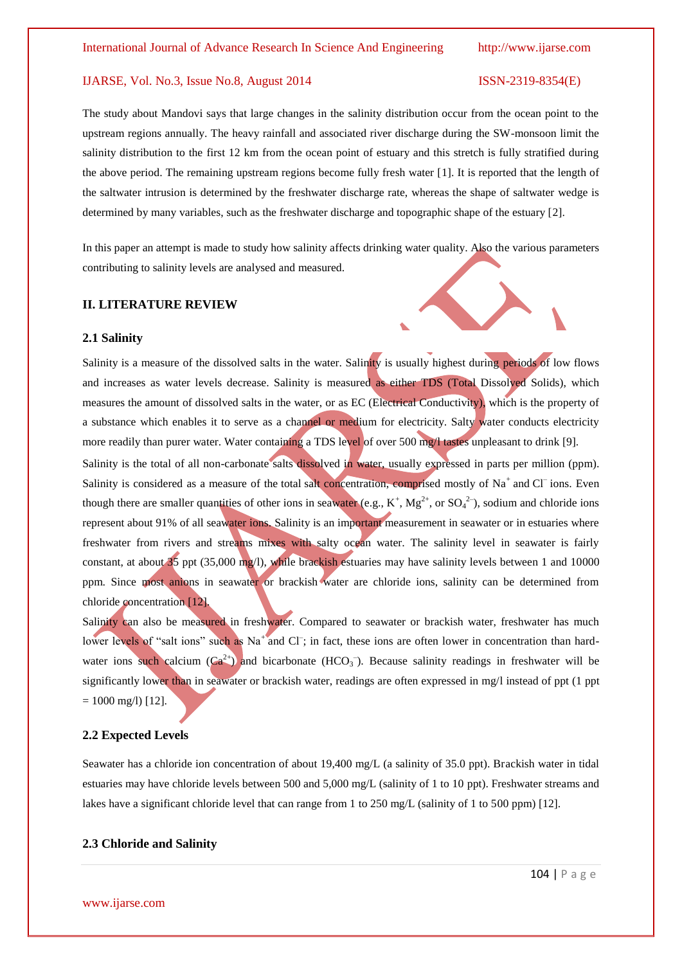The study about Mandovi says that large changes in the salinity distribution occur from the ocean point to the upstream regions annually. The heavy rainfall and associated river discharge during the SW-monsoon limit the salinity distribution to the first 12 km from the ocean point of estuary and this stretch is fully stratified during the above period. The remaining upstream regions become fully fresh water [1]. It is reported that the length of the saltwater intrusion is determined by the freshwater discharge rate, whereas the shape of saltwater wedge is determined by many variables, such as the freshwater discharge and topographic shape of the estuary [2].

In this paper an attempt is made to study how salinity affects drinking water quality. Also the various parameters contributing to salinity levels are analysed and measured.

#### **II. LITERATURE REVIEW**

#### **2.1 Salinity**

Salinity is a measure of the dissolved salts in the water. Salinity is usually highest during periods of low flows and increases as water levels decrease. Salinity is measured as either TDS (Total Dissolved Solids), which measures the amount of dissolved salts in the water, or as EC (Electrical Conductivity), which is the property of a substance which enables it to serve as a channel or medium for electricity. Salty water conducts electricity more readily than purer water. Water containing a TDS level of over 500 mg/l tastes unpleasant to drink [9]. Salinity is the total of all non-carbonate salts dissolved in water, usually expressed in parts per million (ppm). Salinity is considered as a measure of the total salt concentration, comprised mostly of Na<sup>+</sup> and Cl<sup>-</sup>ions. Even though there are smaller quantities of other ions in seawater (e.g.,  $K^+$ ,  $Mg^{2+}$ , or  $SO_4^{2-}$ ), sodium and chloride ions represent about 91% of all seawater ions. Salinity is an important measurement in seawater or in estuaries where freshwater from rivers and streams mixes with salty ocean water. The salinity level in seawater is fairly constant, at about  $35$  ppt (35,000 mg/l), while brackish estuaries may have salinity levels between 1 and 10000 ppm. Since most anions in seawater or brackish water are chloride ions, salinity can be determined from chloride concentration [12].

Salinity can also be measured in freshwater. Compared to seawater or brackish water, freshwater has much lower levels of "salt ions" such as Na<sup>+</sup> and Cl<sup>-</sup>; in fact, these ions are often lower in concentration than hardwater ions such calcium  $(Ca^{2+})$  and bicarbonate  $(HCO_3^-)$ . Because salinity readings in freshwater will be significantly lower than in seawater or brackish water, readings are often expressed in mg/l instead of ppt (1 ppt  $= 1000$  mg/l) [12].

#### **2.2 Expected Levels**

Seawater has a chloride ion concentration of about 19,400 mg/L (a salinity of 35.0 ppt). Brackish water in tidal estuaries may have chloride levels between 500 and 5,000 mg/L (salinity of 1 to 10 ppt). Freshwater streams and lakes have a significant chloride level that can range from 1 to 250 mg/L (salinity of 1 to 500 ppm) [12].

### **2.3 Chloride and Salinity**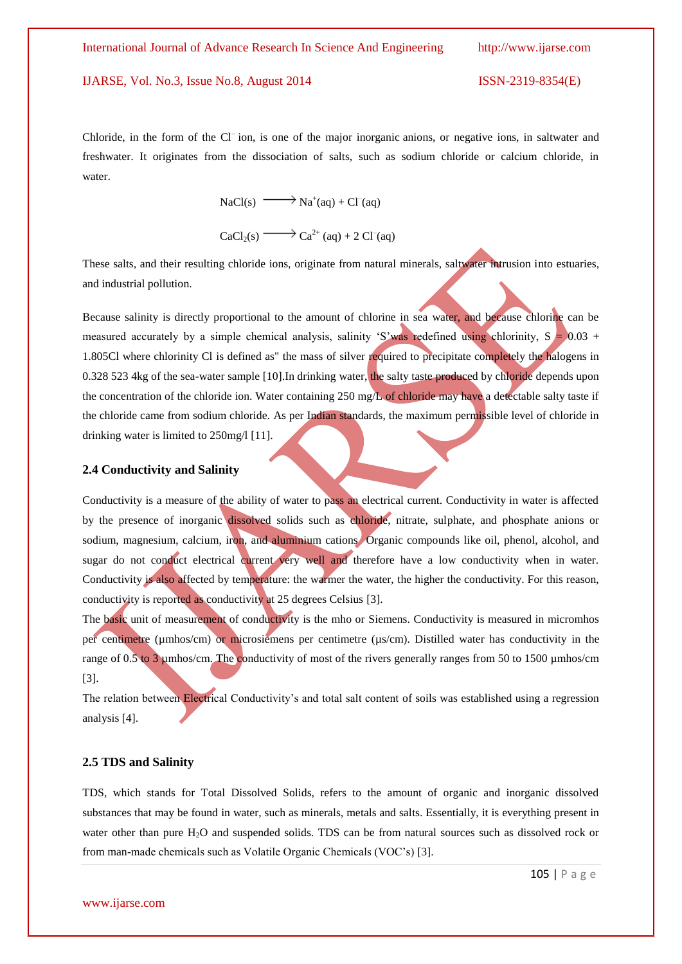Chloride, in the form of the Cl<sup>-</sup>ion, is one of the major inorganic anions, or negative ions, in saltwater and freshwater. It originates from the dissociation of salts, such as sodium chloride or calcium chloride, in water.

 $NaCl(s) \longrightarrow Na^{+}(aq) + Cl^{-}(aq)$  $CaCl<sub>2</sub>(s) \longrightarrow Ca<sup>2+</sup>(aq) + 2 Cl<sup>-</sup>(aq)$ 

These salts, and their resulting chloride ions, originate from natural minerals, saltwater intrusion into estuaries, and industrial pollution.

Because salinity is directly proportional to the amount of chlorine in sea water, and because chlorine can be measured accurately by a simple chemical analysis, salinity 'S'was redefined using chlorinity,  $S = 0.03 +$ 1.805Cl where chlorinity Cl is defined as" the mass of silver required to precipitate completely the halogens in 0.328 523 4kg of the sea-water sample [10].In drinking water, the salty taste produced by chloride depends upon the concentration of the chloride ion. Water containing 250 mg/L of chloride may have a detectable salty taste if the chloride came from sodium chloride. As per Indian standards, the maximum permissible level of chloride in drinking water is limited to 250mg/l [11].

# **2.4 Conductivity and Salinity**

Conductivity is a measure of the ability of water to pass an electrical current. Conductivity in water is affected by the presence of inorganic dissolved solids such as chloride, nitrate, sulphate, and phosphate anions or sodium, magnesium, calcium, iron, and aluminium cations Organic compounds like oil, phenol, alcohol, and sugar do not conduct electrical current very well and therefore have a low conductivity when in water. Conductivity is also affected by temperature: the warmer the water, the higher the conductivity. For this reason, conductivity is reported as conductivity at 25 degrees Celsius [3].

The basic unit of measurement of conductivity is the mho or Siemens. Conductivity is measured in micromhos per centimetre (µmhos/cm) or microsiemens per centimetre (µs/cm). Distilled water has conductivity in the range of 0.5 to 3 umhos/cm. The conductivity of most of the rivers generally ranges from 50 to 1500 umhos/cm [3].

The relation between Electrical Conductivity"s and total salt content of soils was established using a regression analysis [4].

# **2.5 TDS and Salinity**

TDS, which stands for Total Dissolved Solids, refers to the amount of organic and inorganic dissolved substances that may be found in water, such as minerals, metals and salts. Essentially, it is everything present in water other than pure H<sub>2</sub>O and suspended solids. TDS can be from natural sources such as dissolved rock or from man-made chemicals such as Volatile Organic Chemicals (VOC"s) [3].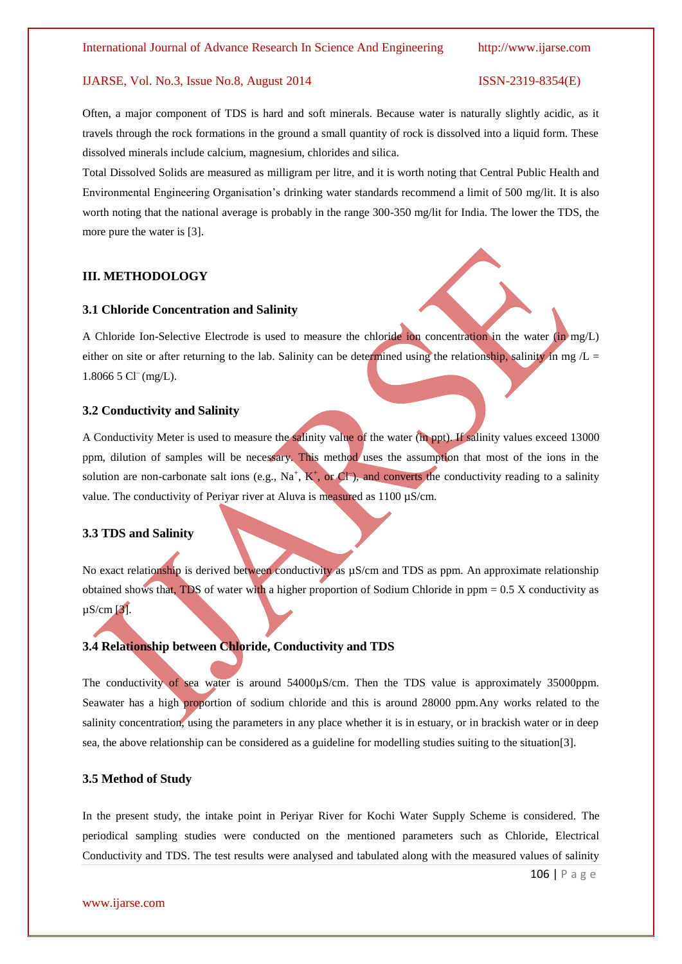Often, a major component of TDS is hard and soft minerals. Because water is naturally slightly acidic, as it travels through the rock formations in the ground a small quantity of rock is dissolved into a liquid form. These dissolved minerals include calcium, magnesium, chlorides and silica.

Total Dissolved Solids are measured as milligram per litre, and it is worth noting that Central Public Health and Environmental Engineering Organisation"s drinking water standards recommend a limit of 500 mg/lit. It is also worth noting that the national average is probably in the range 300-350 mg/lit for India. The lower the TDS, the more pure the water is [3].

### **III. METHODOLOGY**

#### **3.1 Chloride Concentration and Salinity**

A Chloride Ion-Selective Electrode is used to measure the chloride ion concentration in the water (in mg/L) either on site or after returning to the lab. Salinity can be determined using the relationship, salinity in mg  $/L =$ 1.8066 5 Cl<sup>-</sup> (mg/L).

#### **3.2 Conductivity and Salinity**

A Conductivity Meter is used to measure the salinity value of the water (in ppt). If salinity values exceed 13000 ppm, dilution of samples will be necessary. This method uses the assumption that most of the ions in the solution are non-carbonate salt ions (e.g.,  $Na^+$ ,  $K^+$ , or CI), and converts the conductivity reading to a salinity value. The conductivity of Periyar river at Aluva is measured as 1100 µS/cm.

#### **3.3 TDS and Salinity**

No exact relationship is derived between conductivity as  $\mu$ S/cm and TDS as ppm. An approximate relationship obtained shows that, TDS of water with a higher proportion of Sodium Chloride in  $ppm = 0.5$  X conductivity as µS/cm [3].

### **3.4 Relationship between Chloride, Conductivity and TDS**

The conductivity of sea water is around 54000 $\mu$ S/cm. Then the TDS value is approximately 35000ppm. Seawater has a high proportion of sodium chloride and this is around 28000 ppm.Any works related to the salinity concentration, using the parameters in any place whether it is in estuary, or in brackish water or in deep sea, the above relationship can be considered as a guideline for modelling studies suiting to the situation[3].

#### **3.5 Method of Study**

In the present study, the intake point in Periyar River for Kochi Water Supply Scheme is considered. The periodical sampling studies were conducted on the mentioned parameters such as Chloride, Electrical Conductivity and TDS. The test results were analysed and tabulated along with the measured values of salinity

106 | P a g e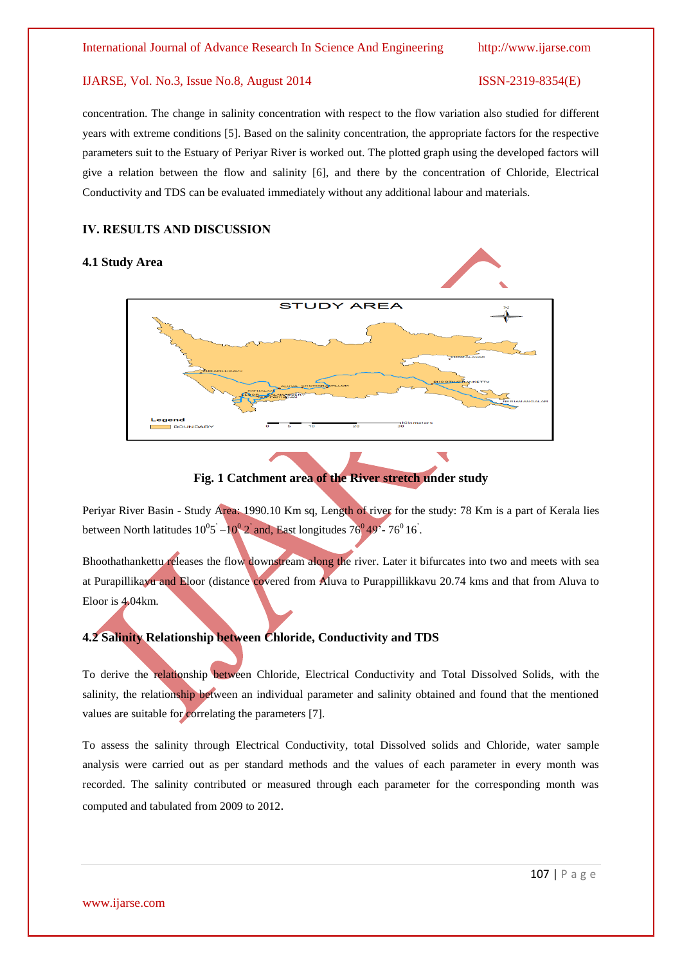concentration. The change in salinity concentration with respect to the flow variation also studied for different years with extreme conditions [5]. Based on the salinity concentration, the appropriate factors for the respective parameters suit to the Estuary of Periyar River is worked out. The plotted graph using the developed factors will give a relation between the flow and salinity [6], and there by the concentration of Chloride, Electrical Conductivity and TDS can be evaluated immediately without any additional labour and materials.

### **IV. RESULTS AND DISCUSSION**

# **4.1 Study Area**



**Fig. 1 Catchment area of the River stretch under study**

Periyar River Basin - Study Area: 1990.10 Km sq, Length of river for the study: 78 Km is a part of Kerala lies between North latitudes  $10^0$ 5<sup>'</sup> $-10^0$ <sub>2</sub><sup>'</sup> and, East longitudes  $76^0$ <sup>49'</sup> $-76^0$  16<sup>'</sup>.

Bhoothathankettu releases the flow downstream along the river. Later it bifurcates into two and meets with sea at Purapillikavu and Eloor (distance covered from Aluva to Purappillikkavu 20.74 kms and that from Aluva to Eloor is 4.04km.

# **4.2 Salinity Relationship between Chloride, Conductivity and TDS**

To derive the relationship between Chloride, Electrical Conductivity and Total Dissolved Solids, with the salinity, the relationship between an individual parameter and salinity obtained and found that the mentioned values are suitable for correlating the parameters [7].

To assess the salinity through Electrical Conductivity, total Dissolved solids and Chloride, water sample analysis were carried out as per standard methods and the values of each parameter in every month was recorded. The salinity contributed or measured through each parameter for the corresponding month was computed and tabulated from 2009 to 2012.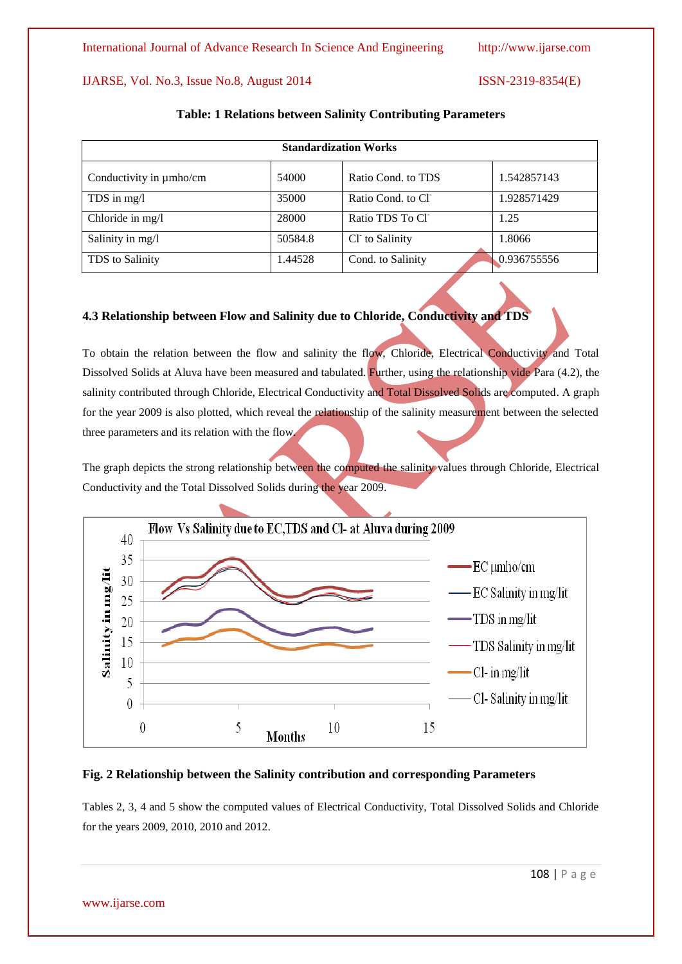| <b>Standardization Works</b> |         |                    |             |  |  |  |  |
|------------------------------|---------|--------------------|-------------|--|--|--|--|
| Conductivity in $\mu$ mho/cm | 54000   | Ratio Cond. to TDS | 1.542857143 |  |  |  |  |
| TDS in $mg/l$                | 35000   | Ratio Cond. to Cl  | 1.928571429 |  |  |  |  |
| Chloride in mg/l             | 28000   | Ratio TDS To Cl    | 1.25        |  |  |  |  |
| Salinity in mg/l             | 50584.8 | Cl to Salinity     | 1.8066      |  |  |  |  |
| TDS to Salinity              | 1.44528 | Cond. to Salinity  | 0.936755556 |  |  |  |  |

#### **Table: 1 Relations between Salinity Contributing Parameters**

# **4.3 Relationship between Flow and Salinity due to Chloride, Conductivity and TDS**

To obtain the relation between the flow and salinity the flow, Chloride, Electrical Conductivity and Total Dissolved Solids at Aluva have been measured and tabulated. Further, using the relationship vide Para (4.2), the salinity contributed through Chloride, Electrical Conductivity and Total Dissolved Solids are computed. A graph for the year 2009 is also plotted, which reveal the relationship of the salinity measurement between the selected three parameters and its relation with the flow.

The graph depicts the strong relationship between the computed the salinity values through Chloride, Electrical Conductivity and the Total Dissolved Solids during the year 2009.



### **Fig. 2 Relationship between the Salinity contribution and corresponding Parameters**

Tables 2, 3, 4 and 5 show the computed values of Electrical Conductivity, Total Dissolved Solids and Chloride for the years 2009, 2010, 2010 and 2012.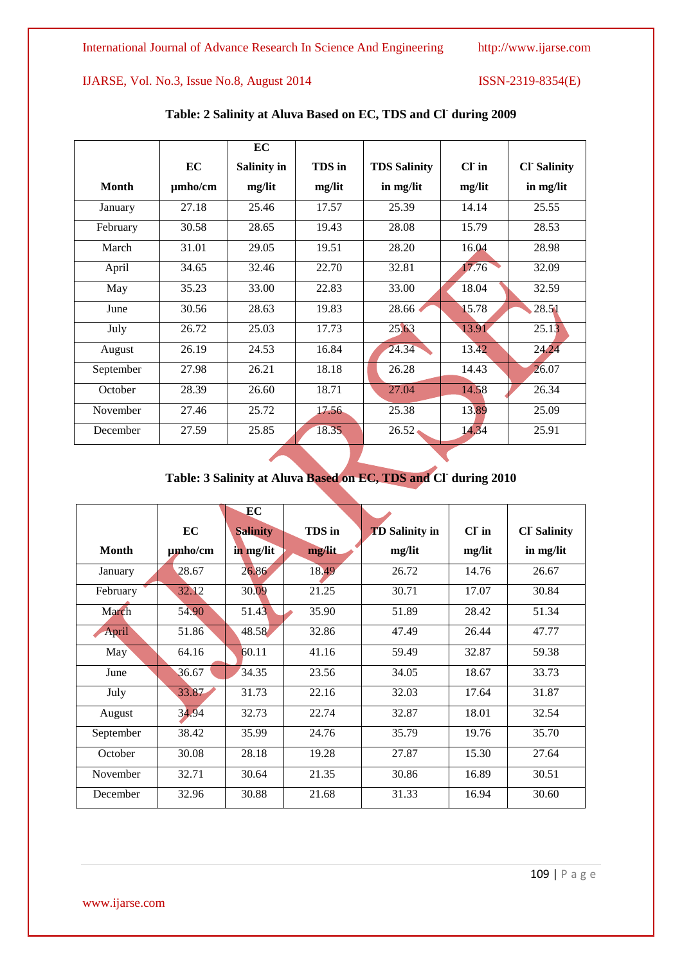|              |              | EC          |        |                     |         |                    |
|--------------|--------------|-------------|--------|---------------------|---------|--------------------|
|              | EC           | Salinity in | TDS in | <b>TDS Salinity</b> | $CI$ in | <b>Cl</b> Salinity |
| <b>Month</b> | $\mu$ mho/cm | mg/lit      | mg/lit | in mg/lit           | mg/lit  | in mg/lit          |
| January      | 27.18        | 25.46       | 17.57  | 25.39               | 14.14   | 25.55              |
| February     | 30.58        | 28.65       | 19.43  | 28.08               | 15.79   | 28.53              |
| March        | 31.01        | 29.05       | 19.51  | 28.20               | 16.04   | 28.98              |
| April        | 34.65        | 32.46       | 22.70  | 32.81               | 17.76   | 32.09              |
| May          | 35.23        | 33.00       | 22.83  | 33.00               | 18.04   | 32.59              |
| June         | 30.56        | 28.63       | 19.83  | 28.66               | 15.78   | 28.51              |
| July         | 26.72        | 25.03       | 17.73  | 25.63               | 13.91   | 25.13              |
| August       | 26.19        | 24.53       | 16.84  | 24.34               | 13.42   | 24.24              |
| September    | 27.98        | 26.21       | 18.18  | 26.28               | 14.43   | 26.07              |
| October      | 28.39        | 26.60       | 18.71  | 27.04               | 14.58   | 26.34              |
| November     | 27.46        | 25.72       | 17.56  | 25.38               | 13.89   | 25.09              |
| December     | 27.59        | 25.85       | 18.35  | $26.52 \cdot$       | 14.34   | 25.91              |

# **Table: 2 Salinity at Aluva Based on EC, TDS and Cl-during 2009**

# **Table: 3 Salinity at Aluva Based on EC, TDS and Cl-during 2010**

|           | EC           | EC                           | TDS in |                                 | $CI$ in |                                 |
|-----------|--------------|------------------------------|--------|---------------------------------|---------|---------------------------------|
| Month     | $\mu$ mho/cm | <b>Salinity</b><br>in mg/lit | mg/lit | <b>TD</b> Salinity in<br>mg/lit | mg/lit  | <b>Cl Salinity</b><br>in mg/lit |
| January   | 28.67        | 26.86                        | 18.49  | 26.72                           | 14.76   | 26.67                           |
| February  | 32.12        | 30.09                        | 21.25  | 30.71                           | 17.07   | 30.84                           |
| March     | 54.90        | 51.43                        | 35.90  | 51.89                           | 28.42   | 51.34                           |
| April     | 51.86        | 48.58                        | 32.86  | 47.49                           | 26.44   | 47.77                           |
| May       | 64.16        | 60.11                        | 41.16  | 59.49                           | 32.87   | 59.38                           |
| June      | 36.67        | 34.35                        | 23.56  | 34.05                           | 18.67   | 33.73                           |
| July      | 33.87        | 31.73                        | 22.16  | 32.03                           | 17.64   | 31.87                           |
| August    | 34.94        | 32.73                        | 22.74  | 32.87                           | 18.01   | 32.54                           |
| September | 38.42        | 35.99                        | 24.76  | 35.79                           | 19.76   | 35.70                           |
| October   | 30.08        | 28.18                        | 19.28  | 27.87                           | 15.30   | 27.64                           |
| November  | 32.71        | 30.64                        | 21.35  | 30.86                           | 16.89   | 30.51                           |
| December  | 32.96        | 30.88                        | 21.68  | 31.33                           | 16.94   | 30.60                           |

www.ijarse.com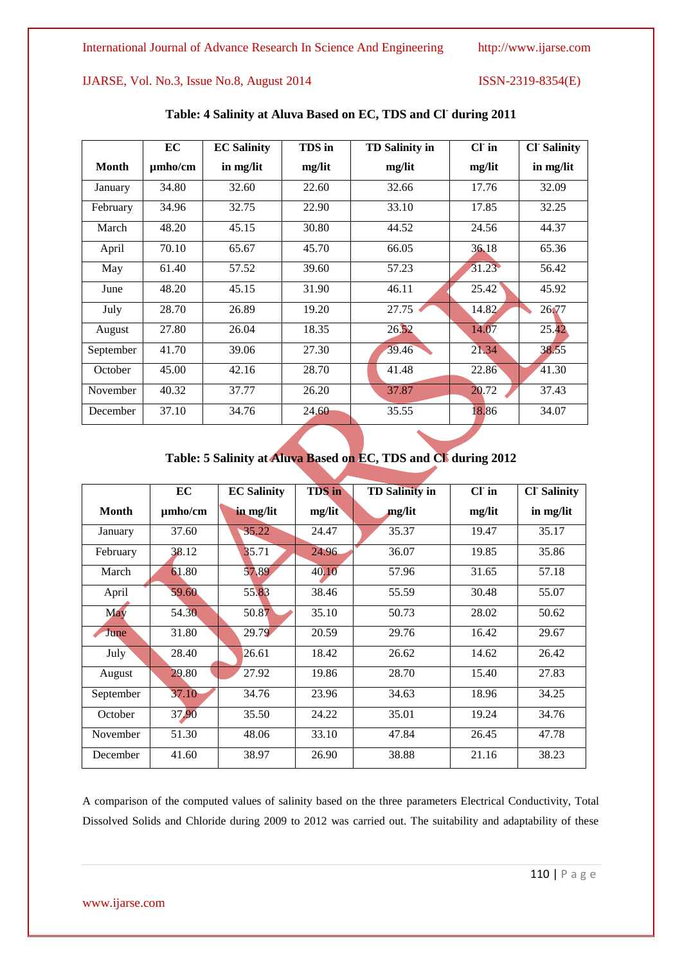|           | EC           | <b>EC Salinity</b> | TDS in | <b>TD Salinity in</b> | $CI$ in | <b>CI</b> Salinity |
|-----------|--------------|--------------------|--------|-----------------------|---------|--------------------|
| Month     | $\mu$ mho/cm | in mg/lit          | mg/lit | mg/lit                | mg/lit  | in mg/lit          |
| January   | 34.80        | 32.60              | 22.60  | 32.66                 | 17.76   | 32.09              |
| February  | 34.96        | 32.75              | 22.90  | 33.10                 | 17.85   | 32.25              |
| March     | 48.20        | 45.15              | 30.80  | 44.52                 | 24.56   | 44.37              |
| April     | 70.10        | 65.67              | 45.70  | 66.05                 | 36.18   | 65.36              |
| May       | 61.40        | 57.52              | 39.60  | 57.23                 | 31.23   | 56.42              |
| June      | 48.20        | 45.15              | 31.90  | 46.11                 | 25.42   | 45.92              |
| July      | 28.70        | 26.89              | 19.20  | $27.75 \triangleleft$ | 14.82   | 26.77              |
| August    | 27.80        | 26.04              | 18.35  | 26.52                 | 14.07   | 25.42              |
| September | 41.70        | 39.06              | 27.30  | 39.46                 | 21.34   | 38.55              |
| October   | 45.00        | 42.16              | 28.70  | 41.48                 | 22.86   | 41.30              |
| November  | 40.32        | 37.77              | 26.20  | 37.87                 | 20.72   | 37.43              |
| December  | 37.10        | 34.76              | 24.60  | 35.55                 | 18.86   | 34.07              |

# **Table: 4 Salinity at Aluva Based on EC, TDS and Cl-during 2011**

# **Table: 5 Salinity at Aluva Based on EC, TDS and Cl-during 2012**

|              | EC           | <b>EC Salinity</b> | <b>TDS</b> in | <b>TD Salinity in</b> | $CI$ in | <b>Cl Salinity</b> |
|--------------|--------------|--------------------|---------------|-----------------------|---------|--------------------|
| <b>Month</b> | $\mu$ mho/cm | in mg/lit          | mg/lit        | mg/lit                | mg/lit  | in mg/lit          |
| January      | 37.60        | 35.22              | 24.47         | 35.37                 | 19.47   | 35.17              |
| February     | 38.12        | 35.71              | 24.96         | 36.07                 | 19.85   | 35.86              |
| March        | 61.80        | 57.89              | 40.10         | 57.96                 | 31.65   | 57.18              |
| April        | 59.60        | 55.83              | 38.46         | 55.59                 | 30.48   | 55.07              |
| May          | 54.30        | 50.87              | 35.10         | 50.73                 | 28.02   | 50.62              |
| June         | 31.80        | 29.79              | 20.59         | 29.76                 | 16.42   | 29.67              |
| July         | 28.40        | 26.61              | 18.42         | 26.62                 | 14.62   | 26.42              |
| August       | 29.80        | 27.92              | 19.86         | 28.70                 | 15.40   | 27.83              |
| September    | 37.10        | 34.76              | 23.96         | 34.63                 | 18.96   | 34.25              |
| October      | 37.90        | 35.50              | 24.22         | 35.01                 | 19.24   | 34.76              |
| November     | 51.30        | 48.06              | 33.10         | 47.84                 | 26.45   | 47.78              |
| December     | 41.60        | 38.97              | 26.90         | 38.88                 | 21.16   | 38.23              |

A comparison of the computed values of salinity based on the three parameters Electrical Conductivity, Total Dissolved Solids and Chloride during 2009 to 2012 was carried out. The suitability and adaptability of these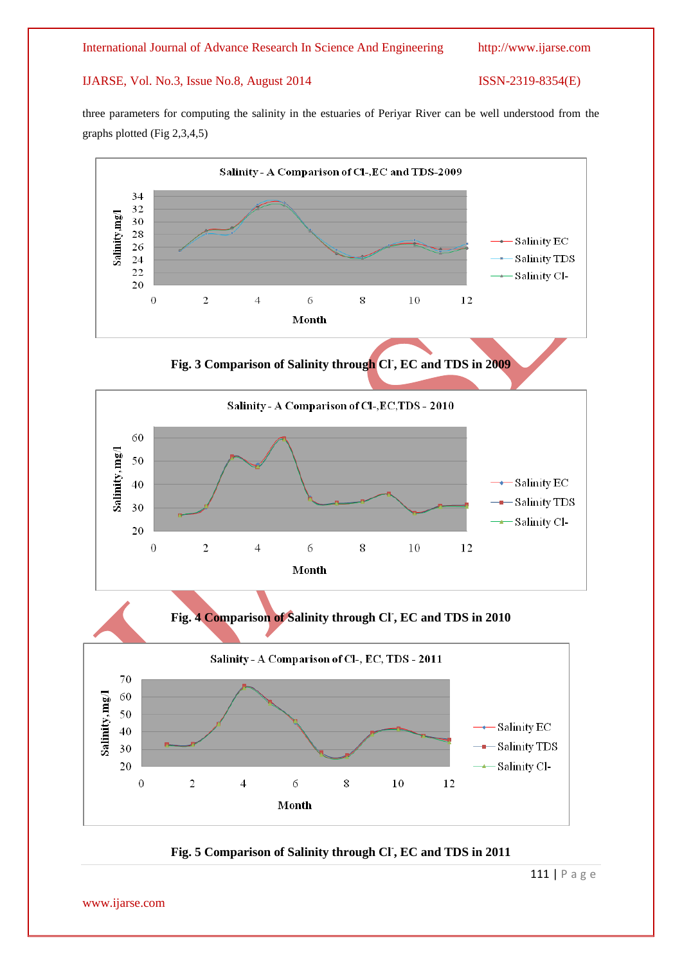three parameters for computing the salinity in the estuaries of Periyar River can be well understood from the graphs plotted (Fig 2,3,4,5)





111 | P a g e

www.ijarse.com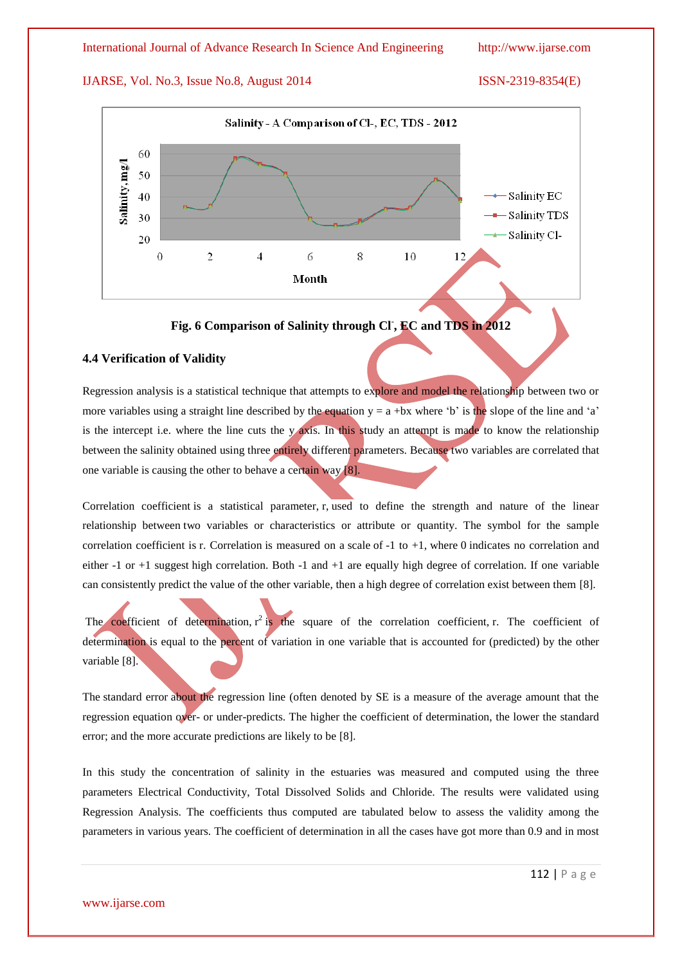

**Fig. 6 Comparison of Salinity through Cl- , EC and TDS in 2012**

### **4.4 Verification of Validity**

Regression analysis is a statistical technique that attempts to explore and model the relationship between two or more variables using a straight line described by the equation  $y = a + bx$  where 'b' is the slope of the line and 'a' is the intercept i.e. where the line cuts the y axis. In this study an attempt is made to know the relationship between the salinity obtained using three entirely different parameters. Because two variables are correlated that one variable is causing the other to behave a certain way [8].

Correlation coefficient is a statistical parameter, r, used to define the strength and nature of the linear relationship between two variables or characteristics or attribute or quantity. The symbol for the sample correlation coefficient is r. Correlation is measured on a scale of  $-1$  to  $+1$ , where 0 indicates no correlation and either -1 or +1 suggest high correlation. Both -1 and +1 are equally high degree of correlation. If one variable can consistently predict the value of the other variable, then a high degree of correlation exist between them [8].

The coefficient of determination,  $r^2$  is the square of the correlation coefficient, r. The coefficient of determination is equal to the percent of variation in one variable that is accounted for (predicted) by the other variable [8].

The standard error about the regression line (often denoted by SE is a measure of the average amount that the regression equation over- or under-predicts. The higher the coefficient of determination, the lower the standard error; and the more accurate predictions are likely to be [8].

In this study the concentration of salinity in the estuaries was measured and computed using the three parameters Electrical Conductivity, Total Dissolved Solids and Chloride. The results were validated using Regression Analysis. The coefficients thus computed are tabulated below to assess the validity among the parameters in various years. The coefficient of determination in all the cases have got more than 0.9 and in most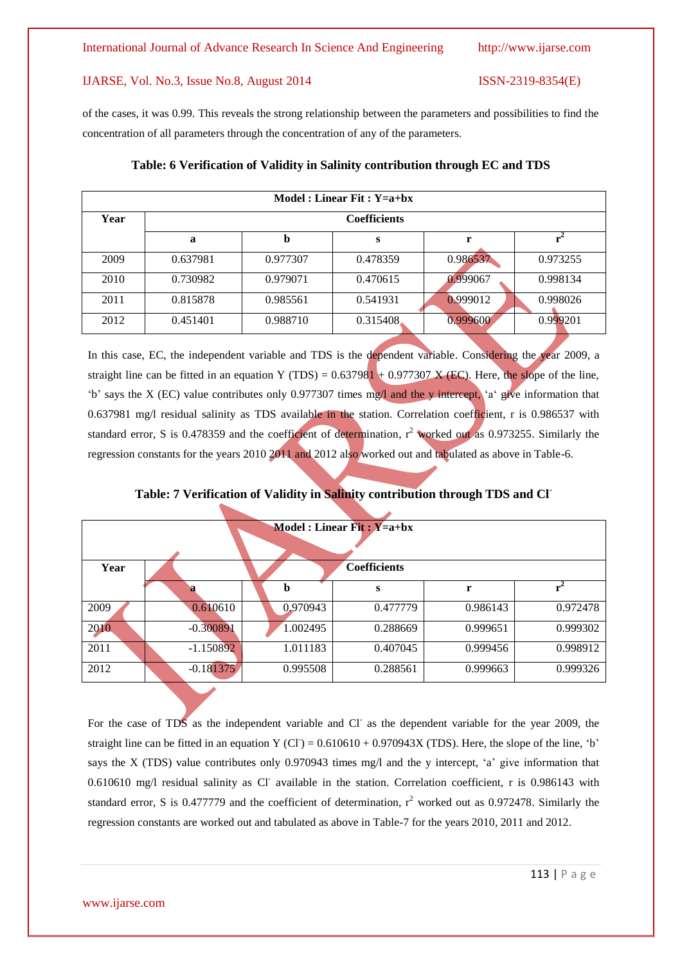of the cases, it was 0.99. This reveals the strong relationship between the parameters and possibilities to find the concentration of all parameters through the concentration of any of the parameters.

| Model: Linear Fit: $Y=a+bx$ |                     |          |           |          |          |  |  |  |
|-----------------------------|---------------------|----------|-----------|----------|----------|--|--|--|
| Year                        | <b>Coefficients</b> |          |           |          |          |  |  |  |
|                             | a                   | b        | S         |          |          |  |  |  |
| 2009                        | 0.637981            | 0.977307 | 0.478359  | 0.986537 | 0.973255 |  |  |  |
| 2010                        | 0.730982            | 0.979071 | 0.470615  | 0.999067 | 0.998134 |  |  |  |
| 2011                        | 0.815878            | 0.985561 | 0.541931  | 0.999012 | 0.998026 |  |  |  |
| 2012                        | 0.451401            | 0.988710 | 0.315408. | 0.999600 | 0.999201 |  |  |  |

# **Table: 6 Verification of Validity in Salinity contribution through EC and TDS**

In this case, EC, the independent variable and TDS is the dependent variable. Considering the year 2009, a straight line can be fitted in an equation Y (TDS) =  $0.637981 + 0.977307$  X (EC). Here, the slope of the line, "b" says the X (EC) value contributes only 0.977307 times mg/l and the y intercept, "a" give information that 0.637981 mg/l residual salinity as TDS available in the station. Correlation coefficient, r is 0.986537 with standard error, S is 0.478359 and the coefficient of determination,  $r^2$  worked out as 0.973255. Similarly the regression constants for the years 2010 2011 and 2012 also worked out and tabulated as above in Table-6.

| <b>Model</b> : Linear Fit: $Y=a+bx$ |             |          |                     |          |          |  |  |
|-------------------------------------|-------------|----------|---------------------|----------|----------|--|--|
|                                     |             |          |                     |          |          |  |  |
|                                     |             |          |                     |          |          |  |  |
| Year                                |             |          | <b>Coefficients</b> |          |          |  |  |
|                                     |             | b        | S                   | r        |          |  |  |
| 2009                                | 0.610610    | 0.970943 | 0.477779            | 0.986143 | 0.972478 |  |  |
| 2010                                | $-0.300891$ | 1.002495 | 0.288669            | 0.999651 | 0.999302 |  |  |
| 2011                                | $-1.150892$ | 1.011183 | 0.407045            | 0.999456 | 0.998912 |  |  |
| 2012                                | $-0.181375$ | 0.995508 | 0.288561            | 0.999663 | 0.999326 |  |  |

**Table: 7 Verification of Validity in Salinity contribution through TDS and Cl-**

For the case of TDS as the independent variable and Cl as the dependent variable for the year 2009, the straight line can be fitted in an equation Y (CI) =  $0.610610 + 0.970943X$  (TDS). Here, the slope of the line, 'b' says the X (TDS) value contributes only 0.970943 times mg/l and the y intercept,  $a^2$  give information that 0.610610 mg/l residual salinity as Cl available in the station. Correlation coefficient, r is 0.986143 with standard error, S is 0.477779 and the coefficient of determination,  $r^2$  worked out as 0.972478. Similarly the regression constants are worked out and tabulated as above in Table-7 for the years 2010, 2011 and 2012.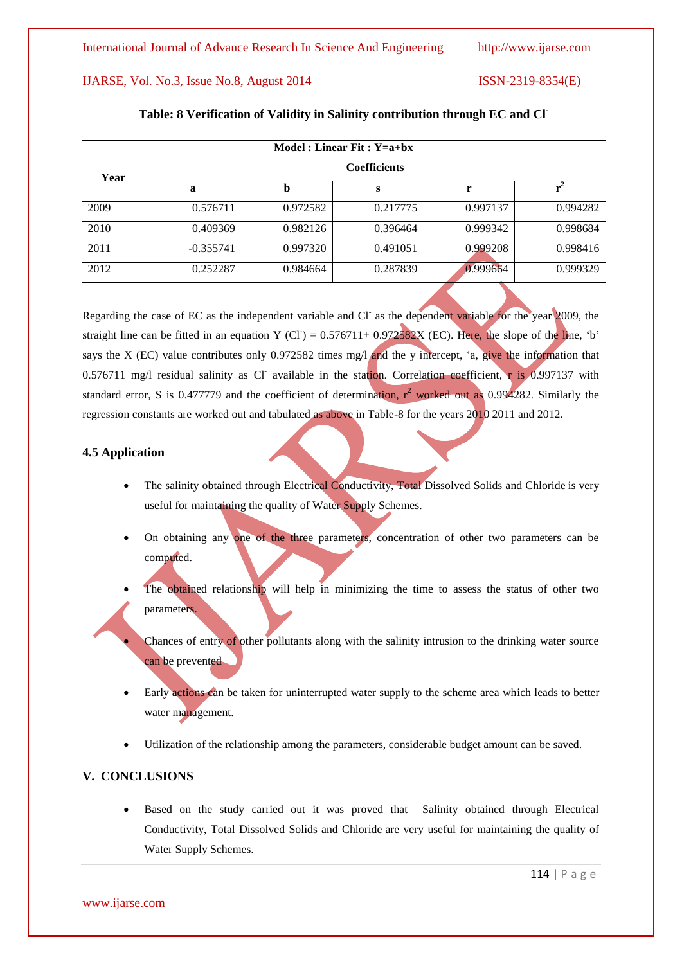| Model: Linear Fit: $Y=a+bx$ |             |                     |          |          |          |  |  |  |  |
|-----------------------------|-------------|---------------------|----------|----------|----------|--|--|--|--|
| Year                        |             | <b>Coefficients</b> |          |          |          |  |  |  |  |
|                             | a           | b                   | S        |          |          |  |  |  |  |
| 2009                        | 0.576711    | 0.972582            | 0.217775 | 0.997137 | 0.994282 |  |  |  |  |
| 2010                        | 0.409369    | 0.982126            | 0.396464 | 0.999342 | 0.998684 |  |  |  |  |
| 2011                        | $-0.355741$ | 0.997320            | 0.491051 | 0.999208 | 0.998416 |  |  |  |  |
| 2012                        | 0.252287    | 0.984664            | 0.287839 | 0.999664 | 0.999329 |  |  |  |  |

### **Table: 8 Verification of Validity in Salinity contribution through EC and Cl-**

Regarding the case of EC as the independent variable and Cl as the dependent variable for the year 2009, the straight line can be fitted in an equation Y (CI) =  $0.576711+0.972582X$  (EC). Here, the slope of the line, 'b' says the X (EC) value contributes only 0.972582 times mg/l and the y intercept, 'a, give the information that 0.576711 mg/l residual salinity as Cl available in the station. Correlation coefficient, r is 0.997137 with standard error, S is 0.477779 and the coefficient of determination,  $r^2$  worked out as 0.994282. Similarly the regression constants are worked out and tabulated as above in Table-8 for the years 2010 2011 and 2012.

# **4.5 Application**

- The salinity obtained through Electrical Conductivity, Total Dissolved Solids and Chloride is very useful for maintaining the quality of Water Supply Schemes.
- On obtaining any one of the three parameters, concentration of other two parameters can be computed.
- The obtained relationship will help in minimizing the time to assess the status of other two parameters.
	- Chances of entry of other pollutants along with the salinity intrusion to the drinking water source can be prevented
- Early actions can be taken for uninterrupted water supply to the scheme area which leads to better water management.
- Utilization of the relationship among the parameters, considerable budget amount can be saved.

# **V. CONCLUSIONS**

 Based on the study carried out it was proved that Salinity obtained through Electrical Conductivity, Total Dissolved Solids and Chloride are very useful for maintaining the quality of Water Supply Schemes.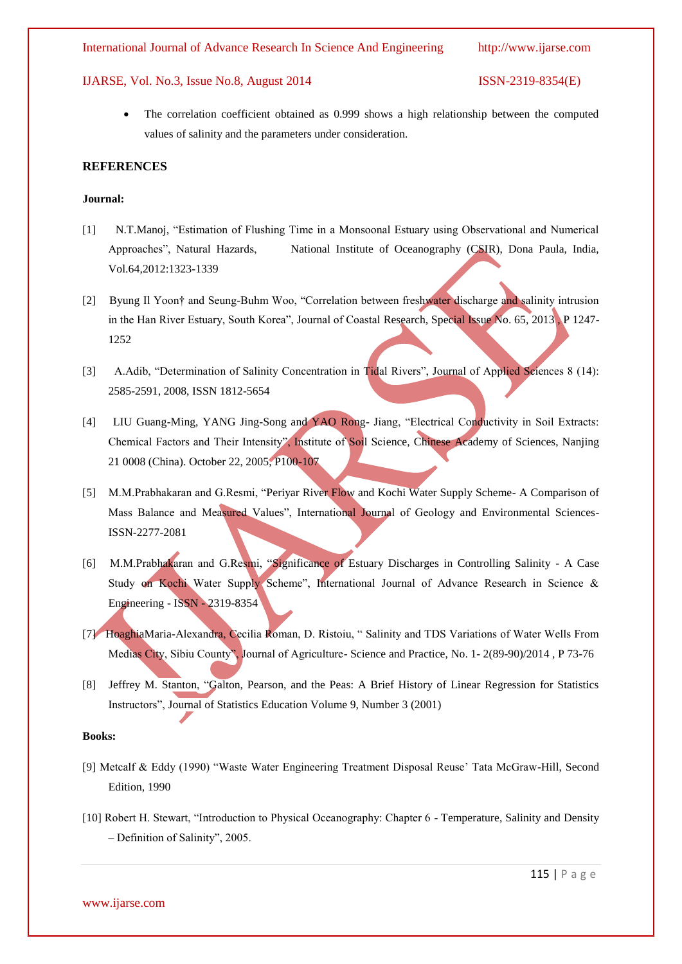The correlation coefficient obtained as 0.999 shows a high relationship between the computed values of salinity and the parameters under consideration.

#### **REFERENCES**

#### **Journal:**

- [1] N.T.Manoj, "Estimation of Flushing Time in a Monsoonal Estuary using Observational and Numerical Approaches", Natural Hazards, National Institute of Oceanography (CSIR), Dona Paula, India, Vol.64,2012:1323-1339
- [2] Byung Il Yoon† and Seung-Buhm Woo, "Correlation between freshwater discharge and salinity intrusion in the Han River Estuary, South Korea", Journal of Coastal Research, Special Issue No. 65, 2013 , P 1247- 1252
- [3] A.Adib, "Determination of Salinity Concentration in Tidal Rivers", Journal of Applied Sciences 8 (14): 2585-2591, 2008, ISSN 1812-5654
- [4] LIU Guang-Ming, YANG Jing-Song and YAO Rong- Jiang, "Electrical Conductivity in Soil Extracts: Chemical Factors and Their Intensity", Institute of Soil Science, Chinese Academy of Sciences, Nanjing 21 0008 (China). October 22, 2005, P100-107
- [5] M.M.Prabhakaran and G.Resmi, "Periyar River Flow and Kochi Water Supply Scheme- A Comparison of Mass Balance and Measured Values", International Journal of Geology and Environmental Sciences-ISSN-2277-2081
- [6] M.M.Prabhakaran and G.Resmi, "Significance of Estuary Discharges in Controlling Salinity A Case Study on Kochi Water Supply Scheme", International Journal of Advance Research in Science & Engineering - ISSN - 2319-8354
- [7] HoaghiaMaria-Alexandra, Cecilia Roman, D. Ristoiu, " Salinity and TDS Variations of Water Wells From Medias City, Sibiu County", Journal of Agriculture- Science and Practice, No. 1- 2(89-90)/2014 , P 73-76
- [8] Jeffrey M. Stanton, "Galton, Pearson, and the Peas: A Brief History of Linear Regression for Statistics Instructors", Journal of Statistics Education Volume 9, Number 3 (2001)

#### **Books:**

- [9] Metcalf & Eddy (1990) "Waste Water Engineering Treatment Disposal Reuse" Tata McGraw-Hill, Second Edition, 1990
- [10] Robert H. Stewart, "Introduction to Physical Oceanography: Chapter 6 Temperature, Salinity and Density – Definition of Salinity", 2005.